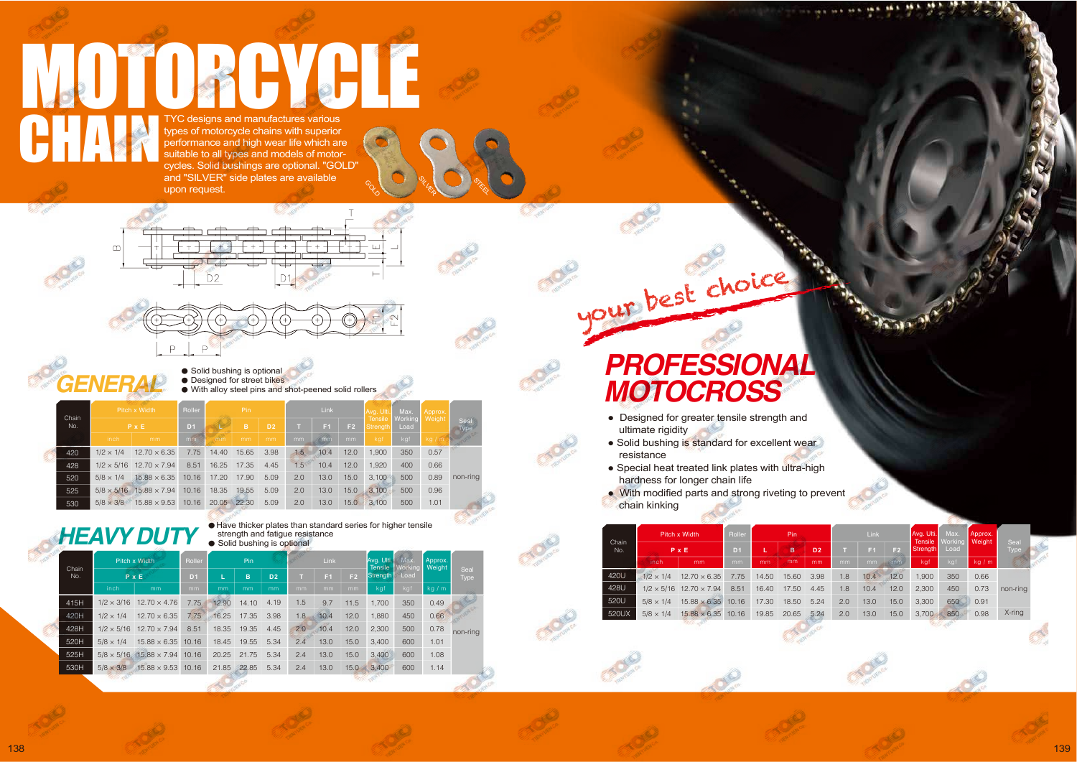## **PROFESSIONAL<br>MOTOCROSS**

your best choice

- Designed for greater tensile strength and ultimate rigidity
- Solid bushing is standard for excellent wear resistance
- Special heat treated link plates with ultra-high hardness for longer chain life
- With modified parts and strong riveting to prevent chain kinking

|              | Pitch x Width<br>$P \times E$ |                                       | Roller         | Pin.  |       |                | Link           |      |                | Avg. Ulti.                 | Max.              | Approx. |                     |
|--------------|-------------------------------|---------------------------------------|----------------|-------|-------|----------------|----------------|------|----------------|----------------------------|-------------------|---------|---------------------|
| Chain<br>No. |                               |                                       | D <sub>1</sub> | в     |       | D <sub>2</sub> | F <sub>1</sub> |      | F <sub>2</sub> | <b>Tensile</b><br>Strength | Working  <br>Load | Weight  | Seal<br><b>Type</b> |
|              | inch                          | mm                                    | mm             | mm    | mm    | mm             | mm             | mm   | mm.            | kgf                        | kgf               | kg/m    |                     |
| 420U         | $1/2 \times 1/4$              | $12.70 \times 6.35$                   | 7.75           | 14.50 | 15.60 | 3.98           | 1.8            | 10.4 | 12.0           | 1,900                      | 350               | 0.66    |                     |
| 428U         |                               | $1/2 \times 5/16$ 12.70 $\times$ 7.94 | 8.51           | 16.40 | 17.50 | 4.45           | 1.8            | 10.4 | 12.0           | 2,300                      | 450               | 0.73    | non-ring            |
| 520U         | $5/8 \times 1/4$              | $15.88 \times 6.35$                   | 10.16          | 17.30 | 18.50 | 5.24           | 2.0            | 13.0 | 15.0           | 3,300                      | 650               | 0.91    |                     |
| 520UX        | $5/8 \times 1/4$              | $15.88 \times 6.35$ 10.16             |                | 19.85 | 20.65 | 5.24           | 2.0            | 13.0 | 15.0           | 3.700                      | 850               | 0.98    | $X$ -ring           |
|              |                               |                                       |                |       |       |                |                |      |                |                            |                   |         |                     |